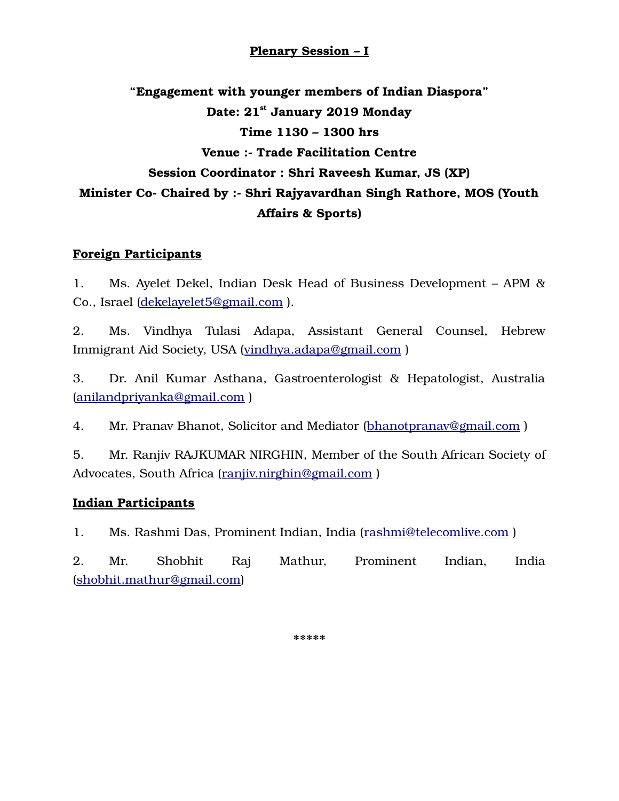## **Plenary Session – I**

**"Engagement with younger members of Indian Diaspora" Date: 21st January 2019 Monday Time 1130 – 1300 hrs Venue :- Trade Facilitation Centre Session Coordinator : Shri Raveesh Kumar, JS (XP) Minister Co- Chaired by :- Shri Rajyavardhan Singh Rathore, MOS (Youth Affairs & Sports)**

## **Foreign Participants**

1. Ms. Ayelet Dekel, Indian Desk Head of Business Development – APM & Co., Israel [\(dekelayelet5@gmail.com](mailto:dekelayelet5@gmail.com) ).

2. Ms. Vindhya Tulasi Adapa, Assistant General Counsel, Hebrew Immigrant Aid Society, USA [\(vindhya.adapa@gmail.com](mailto:vindhya.adapa@gmail.com) )

3. Dr. Anil Kumar Asthana, Gastroenterologist & Hepatologist, Australia [\(anilandpriyanka@gmail.com](mailto:anilandpriyanka@gmail.com) )

4. Mr. Pranav Bhanot, Solicitor and Mediator (bhanotpranav@gmail.com)

5. Mr. Ranjiv RAJKUMAR NIRGHIN, Member of the South African Society of Advocates, South Africa [\(ranjiv.nirghin@gmail.com](mailto:ranjiv.nirghin@gmail.com) )

## **Indian Participants**

1. Ms. Rashmi Das, Prominent Indian, India [\(rashmi@telecomlive.com](mailto:rashmi@telecomlive.com) )

2. Mr. Shobhit Raj Mathur, Prominent Indian, India [\(shobhit.mathur@gmail.com\)](mailto:shobhit.mathur@gmail.com)

**\*\*\*\*\***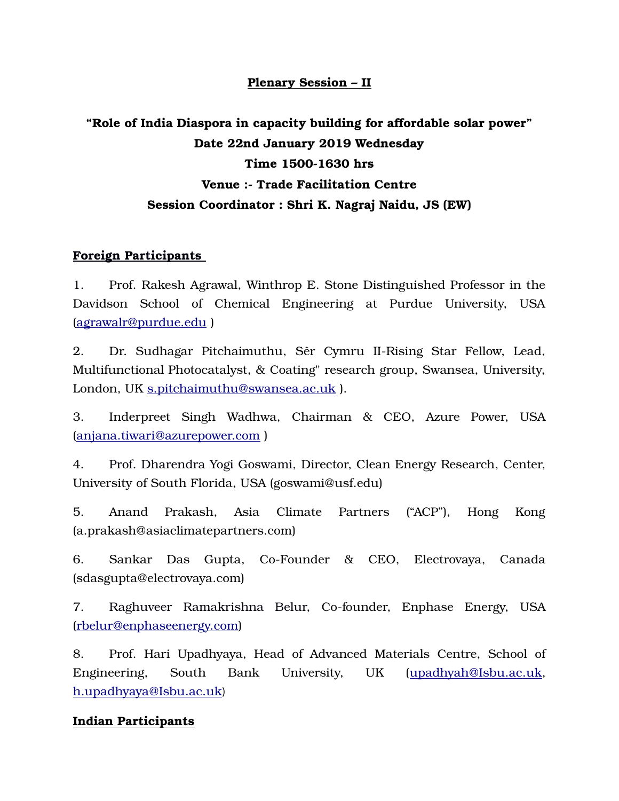## **Plenary Session – II**

# **"Role of India Diaspora in capacity building for affordable solar power" Date 22nd January 2019 Wednesday Time 1500-1630 hrs Venue :- Trade Facilitation Centre Session Coordinator : Shri K. Nagraj Naidu, JS (EW)**

## **Foreign Participants**

1. Prof. Rakesh Agrawal, Winthrop E. Stone Distinguished Professor in the Davidson School of Chemical Engineering at Purdue University, USA [\(agrawalr@purdue.edu](mailto:agrawalr@purdue.edu) )

2. Dr. Sudhagar Pitchaimuthu, Sêr Cymru II-Rising Star Fellow, Lead, Multifunctional Photocatalyst, & Coating" research group, Swansea, University, London, UK [s.pitchaimuthu@swansea.ac.uk](mailto:s.pitchaimuthu@swansea.ac.uk) ).

3. Inderpreet Singh Wadhwa, Chairman & CEO, Azure Power, USA [\(anjana.tiwari@azurepower.com](mailto:anjana.tiwari@azurepower.com) )

4. Prof. Dharendra Yogi Goswami, Director, Clean Energy Research, Center, University of South Florida, USA (goswami@usf.edu)

5. Anand Prakash, Asia Climate Partners ("ACP"), Hong Kong (a.prakash@asiaclimatepartners.com)

6. Sankar Das Gupta, Co-Founder & CEO, Electrovaya, Canada (sdasgupta@electrovaya.com)

7. Raghuveer Ramakrishna Belur, Co-founder, Enphase Energy, USA [\(rbelur@enphaseenergy.com\)](mailto:rbelur@enphaseenergy.com)

8. Prof. Hari Upadhyaya, Head of Advanced Materials Centre, School of Engineering, South Bank University, UK [\(upadhyah@Isbu.ac.uk,](mailto:upadhyah@Isbu.ac.uk) [h.upadhyaya@Isbu.ac.uk](mailto:h.upadhyaya@Isbu.ac.uk))

#### **Indian Participants**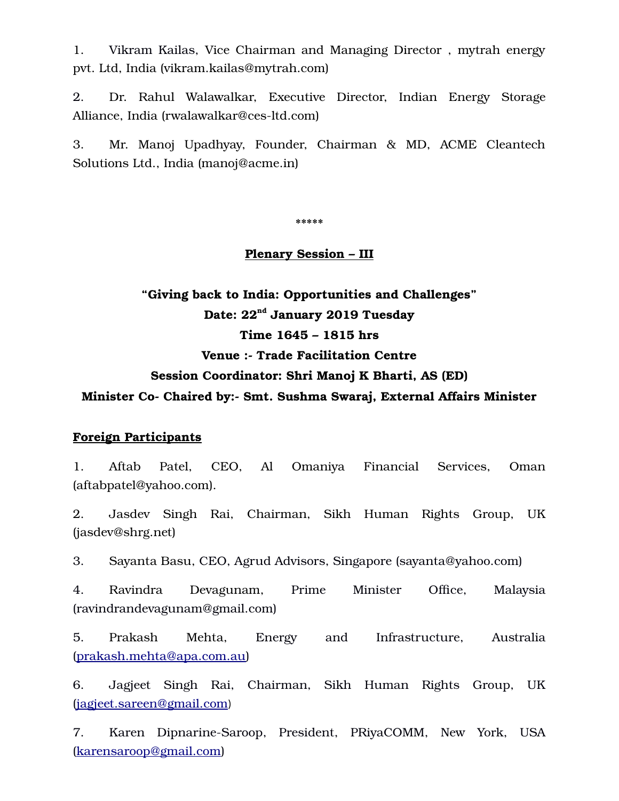1. Vikram Kailas, Vice Chairman and Managing Director , mytrah energy pvt. Ltd, India (vikram.kailas@mytrah.com)

2. Dr. Rahul Walawalkar, Executive Director, Indian Energy Storage Alliance, India (rwalawalkar@ces-ltd.com)

3. Mr. Manoj Upadhyay, Founder, Chairman & MD, ACME Cleantech Solutions Ltd., India (manoj@acme.in)

**\*\*\*\*\***

#### **Plenary Session – III**

**"Giving back to India: Opportunities and Challenges" Date: 22nd January 2019 Tuesday Time 1645 – 1815 hrs Venue :- Trade Facilitation Centre Session Coordinator: Shri Manoj K Bharti, AS (ED) Minister Co- Chaired by:- Smt. Sushma Swaraj, External Affairs Minister**

#### **Foreign Participants**

1. Aftab Patel, CEO, Al Omaniya Financial Services, Oman (aftabpatel@yahoo.com).

2. Jasdev Singh Rai, Chairman, Sikh Human Rights Group, UK (jasdev@shrg.net)

3. Sayanta Basu, CEO, Agrud Advisors, Singapore (sayanta@yahoo.com)

4. Ravindra Devagunam, Prime Minister Office, Malaysia (ravindrandevagunam@gmail.com)

5. Prakash Mehta, Energy and Infrastructure, Australia [\(prakash.mehta@apa.com.au\)](mailto:prakash.mehta@apa.com.au)

6. Jagjeet Singh Rai, Chairman, Sikh Human Rights Group, UK [\(jagjeet.sareen@gmail.com](mailto:jagjeet.sareen@gmail.com))

7. Karen Dipnarine-Saroop, President, PRiyaCOMM, New York, USA [\(karensaroop@gmail.com\)](mailto:karensaroop@gmail.com)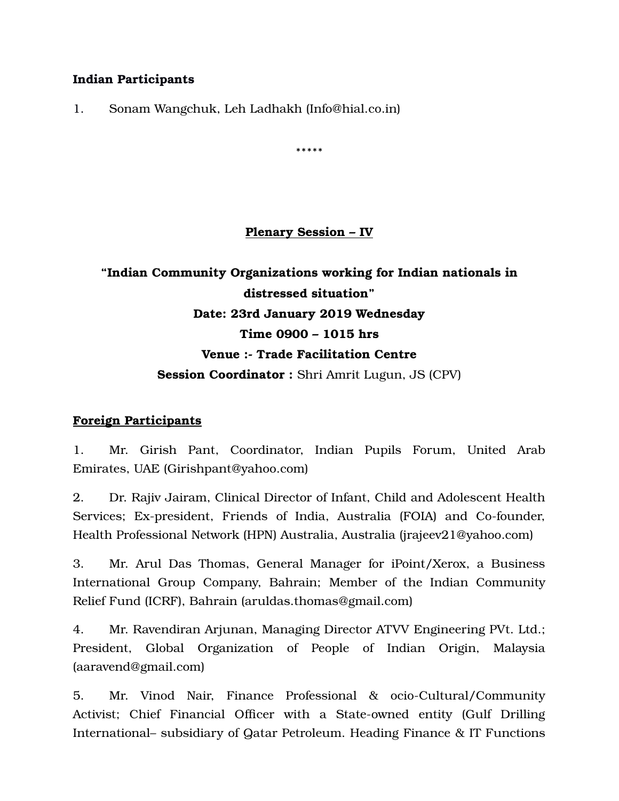## **Indian Participants**

1. Sonam Wangchuk, Leh Ladhakh (Info@hial.co.in)

**\*\*\*\*\***

## **Plenary Session – IV**

# **"Indian Community Organizations working for Indian nationals in distressed situation" Date: 23rd January 2019 Wednesday Time 0900 – 1015 hrs Venue :- Trade Facilitation Centre Session Coordinator :** Shri Amrit Lugun, JS (CPV)

## **Foreign Participants**

1. Mr. Girish Pant, Coordinator, Indian Pupils Forum, United Arab Emirates, UAE (Girishpant@yahoo.com)

2. Dr. Rajiv Jairam, Clinical Director of Infant, Child and Adolescent Health Services; Ex-president, Friends of India, Australia (FOIA) and Co-founder, Health Professional Network (HPN) Australia, Australia (jrajeev21@yahoo.com)

3. Mr. Arul Das Thomas, General Manager for iPoint/Xerox, a Business International Group Company, Bahrain; Member of the Indian Community Relief Fund (ICRF), Bahrain (aruldas.thomas@gmail.com)

4. Mr. Ravendiran Arjunan, Managing Director ATVV Engineering PVt. Ltd.; President, Global Organization of People of Indian Origin, Malaysia (aaravend@gmail.com)

5. Mr. Vinod Nair, Finance Professional & ocio-Cultural/Community Activist; Chief Financial Officer with a State-owned entity (Gulf Drilling International– subsidiary of Qatar Petroleum. Heading Finance & IT Functions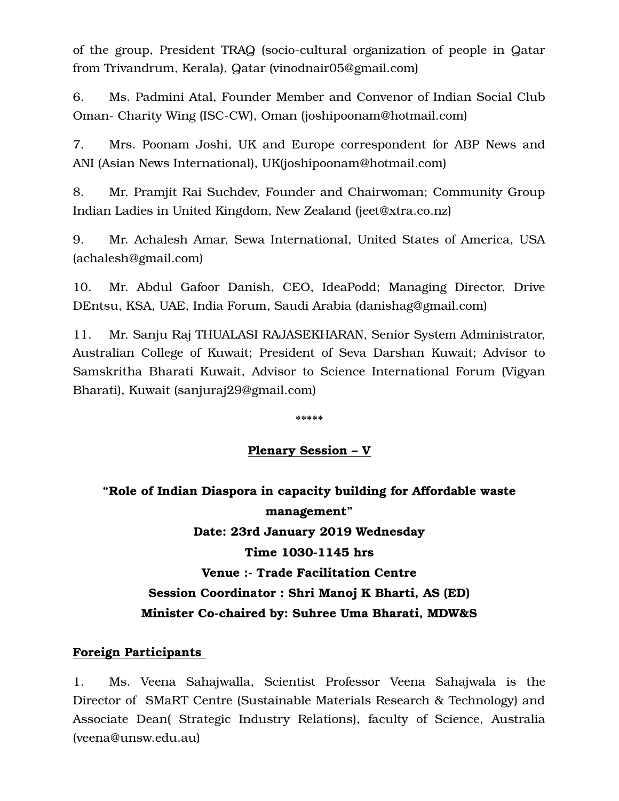of the group, President TRAQ (socio-cultural organization of people in Qatar from Trivandrum, Kerala), Qatar (vinodnair05@gmail.com)

6. Ms. Padmini Atal, Founder Member and Convenor of Indian Social Club Oman- Charity Wing (ISC-CW), Oman (joshipoonam@hotmail.com)

7. Mrs. Poonam Joshi, UK and Europe correspondent for ABP News and ANI (Asian News International), UK(joshipoonam@hotmail.com)

8. Mr. Pramjit Rai Suchdev, Founder and Chairwoman; Community Group Indian Ladies in United Kingdom, New Zealand (jeet@xtra.co.nz)

9. Mr. Achalesh Amar, Sewa International, United States of America, USA (achalesh@gmail.com)

10. Mr. Abdul Gafoor Danish, CEO, IdeaPodd; Managing Director, Drive DEntsu, KSA, UAE, India Forum, Saudi Arabia (danishag@gmail.com)

11. Mr. Sanju Raj THUALASI RAJASEKHARAN, Senior System Administrator, Australian College of Kuwait; President of Seva Darshan Kuwait; Advisor to Samskritha Bharati Kuwait, Advisor to Science International Forum (Vigyan Bharati), Kuwait (sanjuraj29@gmail.com)

**\*\*\*\*\***

## **Plenary Session – V**

**"Role of Indian Diaspora in capacity building for Affordable waste management" Date: 23rd January 2019 Wednesday Time 1030-1145 hrs Venue :- Trade Facilitation Centre Session Coordinator : Shri Manoj K Bharti, AS (ED) Minister Co-chaired by: Suhree Uma Bharati, MDW&S**

#### **Foreign Participants**

1. Ms. Veena Sahajwalla, Scientist Professor Veena Sahajwala is the Director of SMaRT Centre (Sustainable Materials Research & Technology) and Associate Dean( Strategic Industry Relations), faculty of Science, Australia (veena@unsw.edu.au)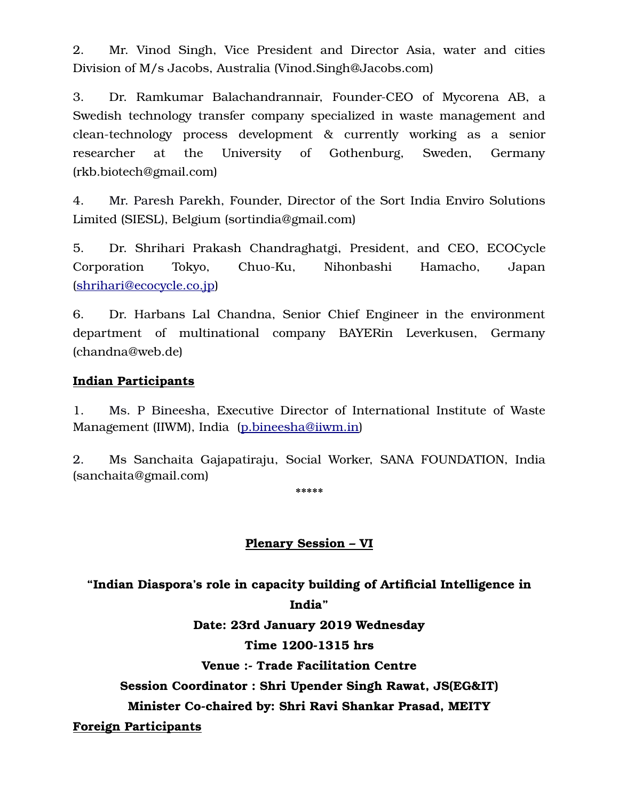2. Mr. Vinod Singh, Vice President and Director Asia, water and cities Division of M/s Jacobs, Australia (Vinod.Singh@Jacobs.com)

3. Dr. Ramkumar Balachandrannair, Founder-CEO of Mycorena AB, a Swedish technology transfer company specialized in waste management and clean-technology process development & currently working as a senior researcher at the University of Gothenburg, Sweden, Germany (rkb.biotech@gmail.com)

4. Mr. Paresh Parekh, Founder, Director of the Sort India Enviro Solutions Limited (SIESL), Belgium (sortindia@gmail.com)

5. Dr. Shrihari Prakash Chandraghatgi, President, and CEO, ECOCycle Corporation Tokyo, Chuo-Ku, Nihonbashi Hamacho, Japan [\(shrihari@ecocycle.co.jp\)](mailto:shrihari@ecocycle.co.jp)

6. Dr. Harbans Lal Chandna, Senior Chief Engineer in the environment department of multinational company BAYERin Leverkusen, Germany (chandna@web.de)

## **Indian Participants**

1. Ms. P Bineesha, Executive Director of International Institute of Waste Management (IIWM), India [\(p.bineesha@iiwm.in\)](mailto:p.bineesha@iiwm.in)

2. Ms Sanchaita Gajapatiraju, Social Worker, SANA FOUNDATION, India (sanchaita@gmail.com)

**\*\*\*\*\***

#### **Plenary Session – VI**

**"Indian Diaspora's role in capacity building of Artificial Intelligence in India"**

**Date: 23rd January 2019 Wednesday**

#### **Time 1200-1315 hrs**

**Venue :- Trade Facilitation Centre**

**Session Coordinator : Shri Upender Singh Rawat, JS(EG&IT)**

**Minister Co-chaired by: Shri Ravi Shankar Prasad, MEITY**

**Foreign Participants**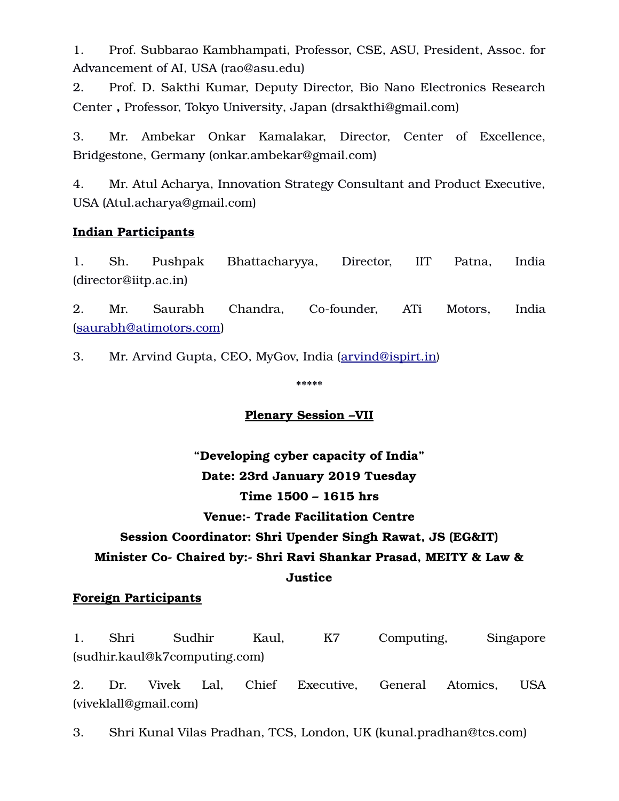1. Prof. Subbarao Kambhampati, Professor, CSE, ASU, President, Assoc. for Advancement of AI, USA (rao@asu.edu)

2. Prof. D. Sakthi Kumar, Deputy Director, Bio Nano Electronics Research Center **,** Professor, Tokyo University, Japan (drsakthi@gmail.com)

3. Mr. Ambekar Onkar Kamalakar, Director, Center of Excellence, Bridgestone, Germany (onkar.ambekar@gmail.com)

4. Mr. Atul Acharya, Innovation Strategy Consultant and Product Executive, USA (Atul.acharya@gmail.com)

## **Indian Participants**

1. Sh. Pushpak Bhattacharyya, Director, IIT Patna, India (director@iitp.ac.in)

2. Mr. Saurabh Chandra, Co-founder, ATi Motors, India [\(saurabh@atimotors.com\)](mailto:saurabh@atimotors.com)

3. Mr. Arvind Gupta, CEO, MyGov, India [\(arvind@ispirt.in](mailto:arvind@ispirt.in))

\*\*\*\*\*

## **Plenary Session –VII**

## **"Developing cyber capacity of India" Date: 23rd January 2019 Tuesday Time 1500 – 1615 hrs**

## **Venue:- Trade Facilitation Centre**

## **Session Coordinator: Shri Upender Singh Rawat, JS (EG&IT)**

# **Minister Co- Chaired by:- Shri Ravi Shankar Prasad, MEITY & Law &**

#### **Justice**

#### **Foreign Participants**

1. Shri Sudhir Kaul, K7 Computing, Singapore (sudhir.kaul@k7computing.com)

2. Dr. Vivek Lal, Chief Executive, General Atomics, USA (viveklall@gmail.com)

3. Shri Kunal Vilas Pradhan, TCS, London, UK (kunal.pradhan@tcs.com)